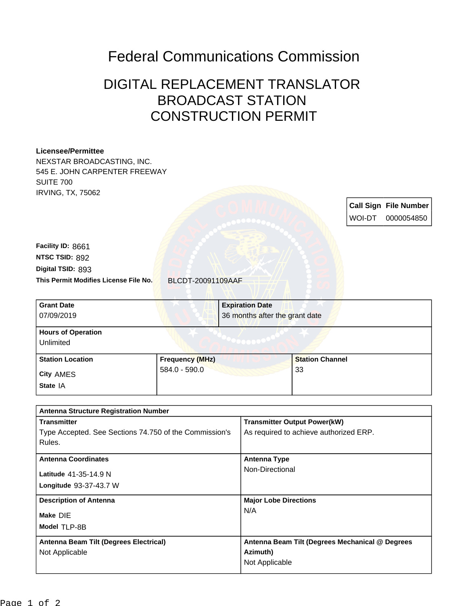## Federal Communications Commission

## DIGITAL REPLACEMENT TRANSLATOR BROADCAST STATION CONSTRUCTION PERMIT

## **Licensee/Permittee** NEXSTAR BROADCASTING, INC. 545 E. JOHN CARPENTER FREEWAY SUITE 700 IRVING, TX, 75062 **Call Sign File Number** WOI-DT 0000054850 **This Permit Modifies License File No.** BLCDT-20091109AAF **Digital TSID:** 893 **NTSC TSID:** 892 **Facility ID:** 8661 **Longitude** 93-37-43.7 W **Latitude** 41-35-14.9 N **State** IA **City** AMES **Grant Date** 07/09/2019 **Expiration Date** 36 months after the grant date **Hours of Operation** Unlimited **Station Location Frequency (MHz)** 584.0 - 590.0 **Station Channel** 33 **Antenna Structure Registration Number Transmitter** Type Accepted. See Sections 74.750 of the Commission's Rules. **Transmitter Output Power(kW)** As required to achieve authorized ERP. **Antenna Coordinates Antenna Type** Non-Directional **Description of Antenna Major Lobe Directions** N/A

**Model** TLP-8B **Antenna Beam Tilt (Degrees Electrical)** Not Applicable **Antenna Beam Tilt (Degrees Mechanical @ Degrees Azimuth)** Not Applicable

**Make** DIE